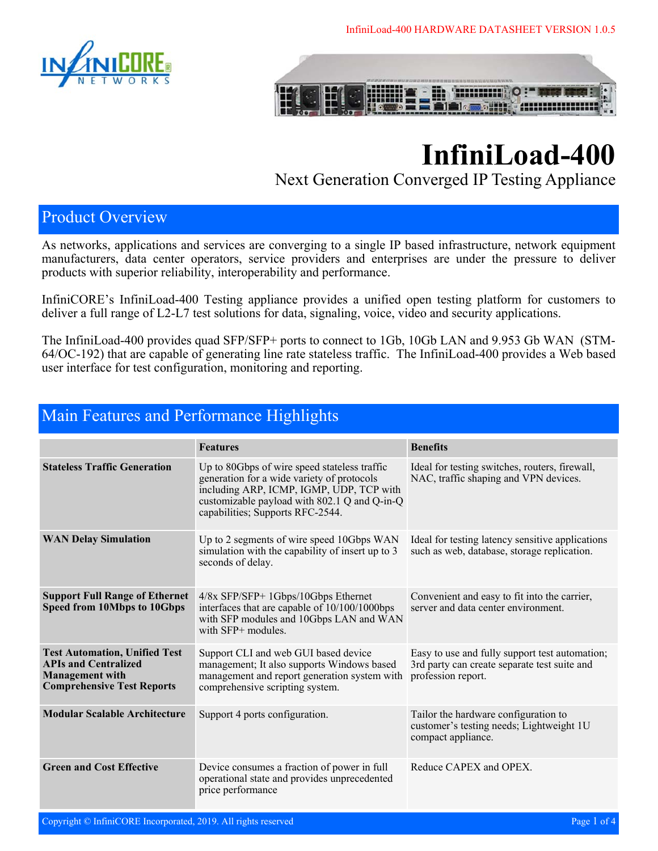



# **InfiniLoad-400**

Next Generation Converged IP Testing Appliance

#### Product Overview

As networks, applications and services are converging to a single IP based infrastructure, network equipment manufacturers, data center operators, service providers and enterprises are under the pressure to deliver products with superior reliability, interoperability and performance.

InfiniCORE's InfiniLoad-400 Testing appliance provides a unified open testing platform for customers to deliver a full range of L2-L7 test solutions for data, signaling, voice, video and security applications.

The InfiniLoad-400 provides quad SFP/SFP+ ports to connect to 1Gb, 10Gb LAN and 9.953 Gb WAN (STM-64/OC-192) that are capable of generating line rate stateless traffic. The InfiniLoad-400 provides a Web based user interface for test configuration, monitoring and reporting.

|                                                                                                                                    | <b>Features</b>                                                                                                                                                                                                            | <b>Benefits</b>                                                                                                      |  |
|------------------------------------------------------------------------------------------------------------------------------------|----------------------------------------------------------------------------------------------------------------------------------------------------------------------------------------------------------------------------|----------------------------------------------------------------------------------------------------------------------|--|
| <b>Stateless Traffic Generation</b>                                                                                                | Up to 80Gbps of wire speed stateless traffic<br>generation for a wide variety of protocols<br>including ARP, ICMP, IGMP, UDP, TCP with<br>customizable payload with 802.1 Q and Q-in-Q<br>capabilities; Supports RFC-2544. | Ideal for testing switches, routers, firewall,<br>NAC, traffic shaping and VPN devices.                              |  |
| <b>WAN Delay Simulation</b>                                                                                                        | Up to 2 segments of wire speed 10Gbps WAN<br>simulation with the capability of insert up to 3<br>seconds of delay.                                                                                                         | Ideal for testing latency sensitive applications<br>such as web, database, storage replication.                      |  |
| <b>Support Full Range of Ethernet</b><br>Speed from 10Mbps to 10Gbps                                                               | $4/8x$ SFP/SFP+ 1Gbps/10Gbps Ethernet<br>interfaces that are capable of 10/100/1000bps<br>with SFP modules and 10Gbps LAN and WAN<br>with $SFP+$ modules.                                                                  | Convenient and easy to fit into the carrier,<br>server and data center environment.                                  |  |
| <b>Test Automation, Unified Test</b><br><b>APIs and Centralized</b><br><b>Management</b> with<br><b>Comprehensive Test Reports</b> | Support CLI and web GUI based device<br>management; It also supports Windows based<br>management and report generation system with<br>comprehensive scripting system.                                                      | Easy to use and fully support test automation;<br>3rd party can create separate test suite and<br>profession report. |  |
| <b>Modular Scalable Architecture</b>                                                                                               | Support 4 ports configuration.                                                                                                                                                                                             | Tailor the hardware configuration to<br>customer's testing needs; Lightweight 1U<br>compact appliance.               |  |
| <b>Green and Cost Effective</b>                                                                                                    | Device consumes a fraction of power in full<br>operational state and provides unprecedented<br>price performance                                                                                                           | Reduce CAPEX and OPEX.                                                                                               |  |

#### Main Features and Performance Highlights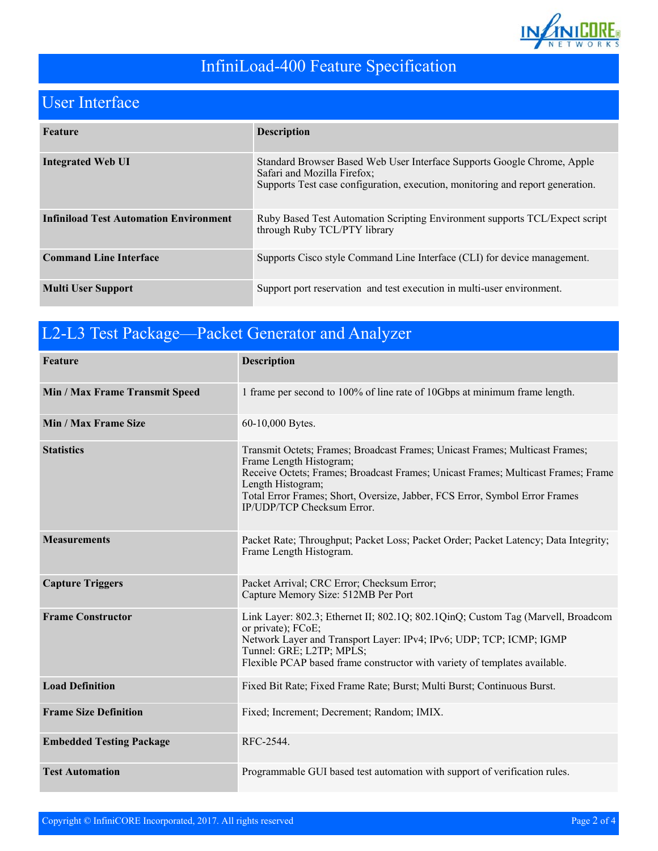

# InfiniLoad-400 Feature Specification

# User Interface

| Feature                                       | <b>Description</b>                                                                                                                                                                       |
|-----------------------------------------------|------------------------------------------------------------------------------------------------------------------------------------------------------------------------------------------|
| <b>Integrated Web UI</b>                      | Standard Browser Based Web User Interface Supports Google Chrome, Apple<br>Safari and Mozilla Firefox;<br>Supports Test case configuration, execution, monitoring and report generation. |
| <b>Infiniload Test Automation Environment</b> | Ruby Based Test Automation Scripting Environment supports TCL/Expect script<br>through Ruby TCL/PTY library                                                                              |
| <b>Command Line Interface</b>                 | Supports Cisco style Command Line Interface (CLI) for device management.                                                                                                                 |
| <b>Multi User Support</b>                     | Support port reservation and test execution in multi-user environment.                                                                                                                   |

| L2-L3 Test Package—Packet Generator and Analyzer |                                                                                                                                                                                                                                                                                                                                |  |
|--------------------------------------------------|--------------------------------------------------------------------------------------------------------------------------------------------------------------------------------------------------------------------------------------------------------------------------------------------------------------------------------|--|
| Feature                                          | <b>Description</b>                                                                                                                                                                                                                                                                                                             |  |
| Min / Max Frame Transmit Speed                   | 1 frame per second to 100% of line rate of 10Gbps at minimum frame length.                                                                                                                                                                                                                                                     |  |
| Min / Max Frame Size                             | 60-10,000 Bytes.                                                                                                                                                                                                                                                                                                               |  |
| <b>Statistics</b>                                | Transmit Octets; Frames; Broadcast Frames; Unicast Frames; Multicast Frames;<br>Frame Length Histogram;<br>Receive Octets; Frames; Broadcast Frames; Unicast Frames; Multicast Frames; Frame<br>Length Histogram;<br>Total Error Frames; Short, Oversize, Jabber, FCS Error, Symbol Error Frames<br>IP/UDP/TCP Checksum Error. |  |
| <b>Measurements</b>                              | Packet Rate; Throughput; Packet Loss; Packet Order; Packet Latency; Data Integrity;<br>Frame Length Histogram.                                                                                                                                                                                                                 |  |
| <b>Capture Triggers</b>                          | Packet Arrival; CRC Error; Checksum Error;<br>Capture Memory Size: 512MB Per Port                                                                                                                                                                                                                                              |  |
| <b>Frame Constructor</b>                         | Link Layer: 802.3; Ethernet II; 802.1Q; 802.1QinQ; Custom Tag (Marvell, Broadcom<br>or private); FCoE;<br>Network Layer and Transport Layer: IPv4; IPv6; UDP; TCP; ICMP; IGMP<br>Tunnel: GRE; L2TP; MPLS;<br>Flexible PCAP based frame constructor with variety of templates available.                                        |  |
| <b>Load Definition</b>                           | Fixed Bit Rate; Fixed Frame Rate; Burst; Multi Burst; Continuous Burst.                                                                                                                                                                                                                                                        |  |
| <b>Frame Size Definition</b>                     | Fixed; Increment; Decrement; Random; IMIX.                                                                                                                                                                                                                                                                                     |  |
| <b>Embedded Testing Package</b>                  | RFC-2544.                                                                                                                                                                                                                                                                                                                      |  |
| <b>Test Automation</b>                           | Programmable GUI based test automation with support of verification rules.                                                                                                                                                                                                                                                     |  |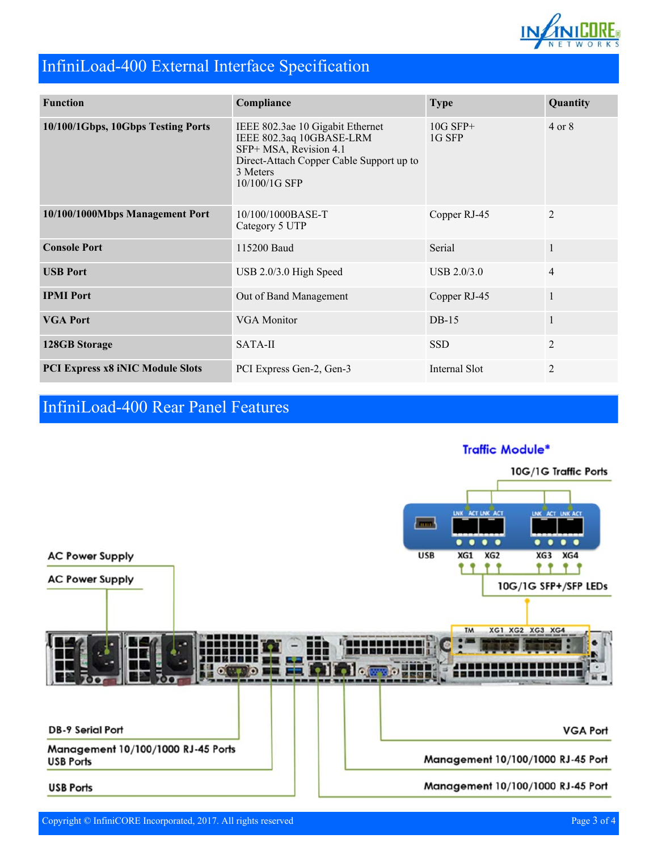

## InfiniLoad-400 External Interface Specification

| <b>Function</b>                         | Compliance                                                                                                                                                      | <b>Type</b>          | Quantity          |
|-----------------------------------------|-----------------------------------------------------------------------------------------------------------------------------------------------------------------|----------------------|-------------------|
| 10/100/1Gbps, 10Gbps Testing Ports      | IEEE 802.3ae 10 Gigabit Ethernet<br>IEEE 802.3aq 10GBASE-LRM<br>SFP+ MSA, Revision 4.1<br>Direct-Attach Copper Cable Support up to<br>3 Meters<br>10/100/1G SFP | $10G$ SFP+<br>1G SFP | $4 \text{ or } 8$ |
| 10/100/1000Mbps Management Port         | 10/100/1000BASE-T<br>Category 5 UTP                                                                                                                             | Copper RJ-45         | 2                 |
| <b>Console Port</b>                     | 115200 Baud                                                                                                                                                     | Serial               | $\mathbf{1}$      |
| <b>USB Port</b>                         | USB 2.0/3.0 High Speed                                                                                                                                          | USB 2.0/3.0          | $\overline{4}$    |
| <b>IPMI Port</b>                        | Out of Band Management                                                                                                                                          | Copper RJ-45         | $\mathbf{1}$      |
| <b>VGA Port</b>                         | <b>VGA</b> Monitor                                                                                                                                              | $DB-15$              | $\mathbf{1}$      |
| <b>128GB Storage</b>                    | SATA-II                                                                                                                                                         | <b>SSD</b>           | $\overline{2}$    |
| <b>PCI Express x8 iNIC Module Slots</b> | PCI Express Gen-2, Gen-3                                                                                                                                        | Internal Slot        | $\overline{2}$    |

# InfiniLoad-400 Rear Panel Features